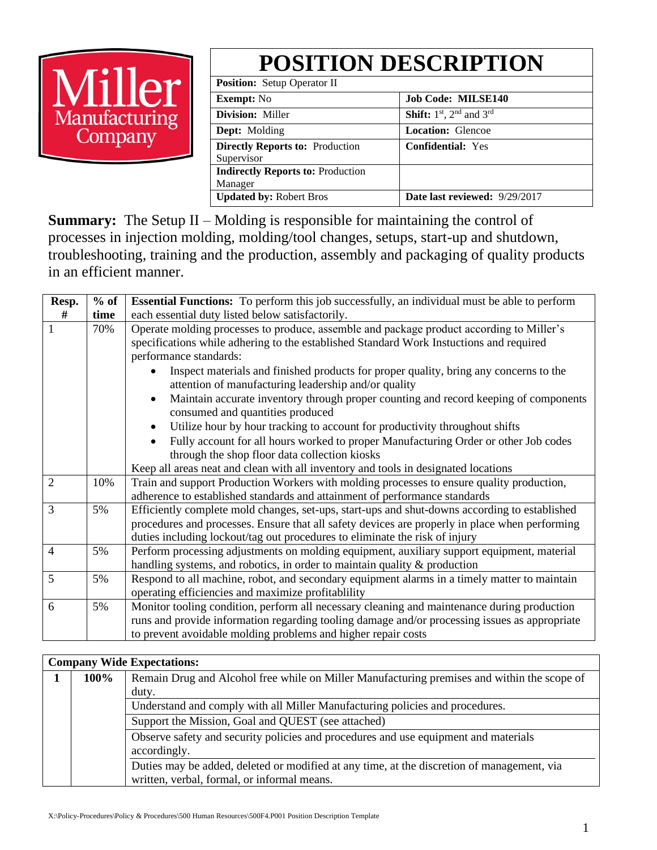# **POSITION DESCRIPTION**



| <b>Position:</b> Setup Operator II       |                                       |  |  |  |  |  |
|------------------------------------------|---------------------------------------|--|--|--|--|--|
| <b>Exempt:</b> No                        | <b>Job Code: MILSE140</b>             |  |  |  |  |  |
| Division: Miller                         | <b>Shift:</b> $1st$ , $2nd$ and $3rd$ |  |  |  |  |  |
| <b>Dept:</b> Molding                     | <b>Location: Glencoe</b>              |  |  |  |  |  |
| <b>Directly Reports to: Production</b>   | <b>Confidential: Yes</b>              |  |  |  |  |  |
| Supervisor                               |                                       |  |  |  |  |  |
| <b>Indirectly Reports to: Production</b> |                                       |  |  |  |  |  |
| Manager                                  |                                       |  |  |  |  |  |
| <b>Updated by: Robert Bros</b>           | Date last reviewed: 9/29/2017         |  |  |  |  |  |

**Summary:** The Setup II – Molding is responsible for maintaining the control of processes in injection molding, molding/tool changes, setups, start-up and shutdown, troubleshooting, training and the production, assembly and packaging of quality products in an efficient manner.

| Resp.          | $%$ of | <b>Essential Functions:</b> To perform this job successfully, an individual must be able to perform                                                                                                                                                                            |  |  |  |  |  |  |
|----------------|--------|--------------------------------------------------------------------------------------------------------------------------------------------------------------------------------------------------------------------------------------------------------------------------------|--|--|--|--|--|--|
| #              | time   | each essential duty listed below satisfactorily.                                                                                                                                                                                                                               |  |  |  |  |  |  |
| 1              | 70%    | Operate molding processes to produce, assemble and package product according to Miller's<br>specifications while adhering to the established Standard Work Instuctions and required<br>performance standards:                                                                  |  |  |  |  |  |  |
|                |        | Inspect materials and finished products for proper quality, bring any concerns to the<br>attention of manufacturing leadership and/or quality                                                                                                                                  |  |  |  |  |  |  |
|                |        | Maintain accurate inventory through proper counting and record keeping of components<br>consumed and quantities produced                                                                                                                                                       |  |  |  |  |  |  |
|                |        | Utilize hour by hour tracking to account for productivity throughout shifts                                                                                                                                                                                                    |  |  |  |  |  |  |
|                |        | Fully account for all hours worked to proper Manufacturing Order or other Job codes                                                                                                                                                                                            |  |  |  |  |  |  |
|                |        | through the shop floor data collection kiosks                                                                                                                                                                                                                                  |  |  |  |  |  |  |
|                |        | Keep all areas neat and clean with all inventory and tools in designated locations                                                                                                                                                                                             |  |  |  |  |  |  |
| $\overline{2}$ | 10%    | Train and support Production Workers with molding processes to ensure quality production,<br>adherence to established standards and attainment of performance standards                                                                                                        |  |  |  |  |  |  |
| 3              | 5%     | Efficiently complete mold changes, set-ups, start-ups and shut-downs according to established<br>procedures and processes. Ensure that all safety devices are properly in place when performing<br>duties including lockout/tag out procedures to eliminate the risk of injury |  |  |  |  |  |  |
| $\overline{4}$ | 5%     | Perform processing adjustments on molding equipment, auxiliary support equipment, material<br>handling systems, and robotics, in order to maintain quality $\&$ production                                                                                                     |  |  |  |  |  |  |
| 5              | 5%     | Respond to all machine, robot, and secondary equipment alarms in a timely matter to maintain<br>operating efficiencies and maximize profitablility                                                                                                                             |  |  |  |  |  |  |
| 6              | 5%     | Monitor tooling condition, perform all necessary cleaning and maintenance during production<br>runs and provide information regarding tooling damage and/or processing issues as appropriate<br>to prevent avoidable molding problems and higher repair costs                  |  |  |  |  |  |  |

## **Company Wide Expectations:**

| 100% | Remain Drug and Alcohol free while on Miller Manufacturing premises and within the scope of |  |  |  |  |  |  |
|------|---------------------------------------------------------------------------------------------|--|--|--|--|--|--|
|      | duty.                                                                                       |  |  |  |  |  |  |
|      | Understand and comply with all Miller Manufacturing policies and procedures.                |  |  |  |  |  |  |
|      | Support the Mission, Goal and QUEST (see attached)                                          |  |  |  |  |  |  |
|      | Observe safety and security policies and procedures and use equipment and materials         |  |  |  |  |  |  |
|      | accordingly.                                                                                |  |  |  |  |  |  |
|      | Duties may be added, deleted or modified at any time, at the discretion of management, via  |  |  |  |  |  |  |
|      | written, verbal, formal, or informal means.                                                 |  |  |  |  |  |  |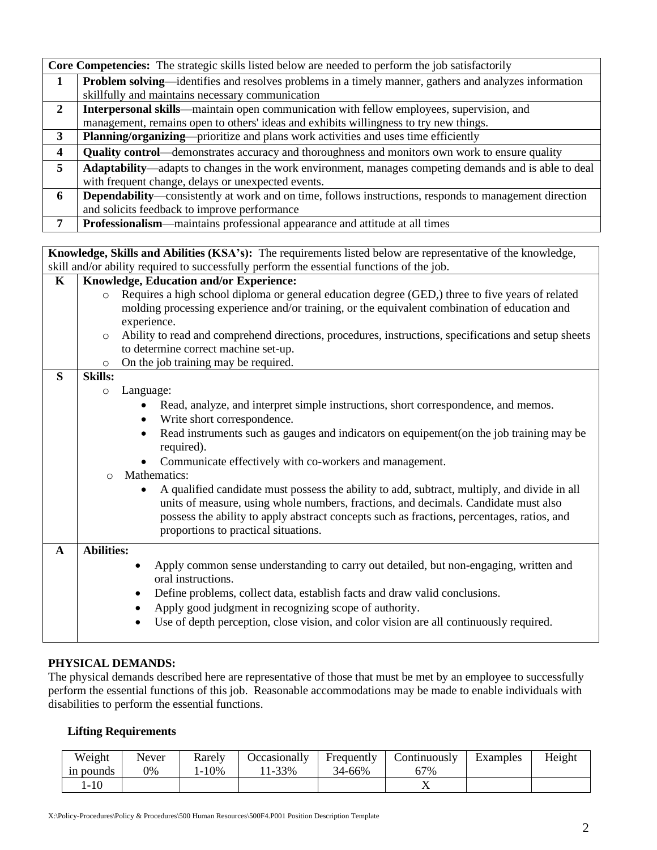|                | <b>Core Competencies:</b> The strategic skills listed below are needed to perform the job satisfactorily      |  |  |  |  |  |  |
|----------------|---------------------------------------------------------------------------------------------------------------|--|--|--|--|--|--|
| 1              | Problem solving—identifies and resolves problems in a timely manner, gathers and analyzes information         |  |  |  |  |  |  |
|                | skillfully and maintains necessary communication                                                              |  |  |  |  |  |  |
| $\overline{2}$ | Interpersonal skills—maintain open communication with fellow employees, supervision, and                      |  |  |  |  |  |  |
|                | management, remains open to others' ideas and exhibits willingness to try new things.                         |  |  |  |  |  |  |
| 3              | <b>Planning/organizing—prioritize and plans work activities and uses time efficiently</b>                     |  |  |  |  |  |  |
| 4              | Quality control—demonstrates accuracy and thoroughness and monitors own work to ensure quality                |  |  |  |  |  |  |
| 5 <sup>5</sup> | Adaptability—adapts to changes in the work environment, manages competing demands and is able to deal         |  |  |  |  |  |  |
|                | with frequent change, delays or unexpected events.                                                            |  |  |  |  |  |  |
| 6              | <b>Dependability—consistently at work and on time, follows instructions, responds to management direction</b> |  |  |  |  |  |  |
|                | and solicits feedback to improve performance                                                                  |  |  |  |  |  |  |
| 7              | <b>Professionalism—maintains professional appearance and attitude at all times</b>                            |  |  |  |  |  |  |

**Knowledge, Skills and Abilities (KSA's):** The requirements listed below are representative of the knowledge, skill and/or ability required to successfully perform the essential functions of the job.

| $\mathbf K$  | <b>Knowledge, Education and/or Experience:</b>                                                                  |  |  |  |  |  |  |  |  |
|--------------|-----------------------------------------------------------------------------------------------------------------|--|--|--|--|--|--|--|--|
|              | Requires a high school diploma or general education degree (GED,) three to five years of related<br>$\circ$     |  |  |  |  |  |  |  |  |
|              | molding processing experience and/or training, or the equivalent combination of education and                   |  |  |  |  |  |  |  |  |
|              | experience.                                                                                                     |  |  |  |  |  |  |  |  |
|              | Ability to read and comprehend directions, procedures, instructions, specifications and setup sheets<br>$\circ$ |  |  |  |  |  |  |  |  |
|              | to determine correct machine set-up.                                                                            |  |  |  |  |  |  |  |  |
|              | On the job training may be required.<br>$\circ$                                                                 |  |  |  |  |  |  |  |  |
| S            | <b>Skills:</b>                                                                                                  |  |  |  |  |  |  |  |  |
|              | Language:<br>$\circ$                                                                                            |  |  |  |  |  |  |  |  |
|              | Read, analyze, and interpret simple instructions, short correspondence, and memos.                              |  |  |  |  |  |  |  |  |
|              | Write short correspondence.<br>$\bullet$                                                                        |  |  |  |  |  |  |  |  |
|              | Read instruments such as gauges and indicators on equipement(on the job training may be<br>$\bullet$            |  |  |  |  |  |  |  |  |
|              | required).                                                                                                      |  |  |  |  |  |  |  |  |
|              | Communicate effectively with co-workers and management.                                                         |  |  |  |  |  |  |  |  |
|              | Mathematics:<br>$\bigcirc$                                                                                      |  |  |  |  |  |  |  |  |
|              | A qualified candidate must possess the ability to add, subtract, multiply, and divide in all                    |  |  |  |  |  |  |  |  |
|              | units of measure, using whole numbers, fractions, and decimals. Candidate must also                             |  |  |  |  |  |  |  |  |
|              | possess the ability to apply abstract concepts such as fractions, percentages, ratios, and                      |  |  |  |  |  |  |  |  |
|              | proportions to practical situations.                                                                            |  |  |  |  |  |  |  |  |
|              | <b>Abilities:</b>                                                                                               |  |  |  |  |  |  |  |  |
| $\mathbf{A}$ |                                                                                                                 |  |  |  |  |  |  |  |  |
|              | Apply common sense understanding to carry out detailed, but non-engaging, written and                           |  |  |  |  |  |  |  |  |
|              | oral instructions.                                                                                              |  |  |  |  |  |  |  |  |
|              | Define problems, collect data, establish facts and draw valid conclusions.<br>٠                                 |  |  |  |  |  |  |  |  |
|              | Apply good judgment in recognizing scope of authority.<br>٠                                                     |  |  |  |  |  |  |  |  |
|              | Use of depth perception, close vision, and color vision are all continuously required.                          |  |  |  |  |  |  |  |  |
|              |                                                                                                                 |  |  |  |  |  |  |  |  |

### **PHYSICAL DEMANDS:**

The physical demands described here are representative of those that must be met by an employee to successfully perform the essential functions of this job. Reasonable accommodations may be made to enable individuals with disabilities to perform the essential functions.

### **Lifting Requirements**

| Weight          | Never<br>Rarely |         | Occasionally | Frequently | Continuously | Examples | Height |
|-----------------|-----------------|---------|--------------|------------|--------------|----------|--------|
| 0%<br>in pounds |                 | $-10\%$ | 1-33%        | 34-66%     | 67%          |          |        |
| $-10$           |                 |         |              |            |              |          |        |